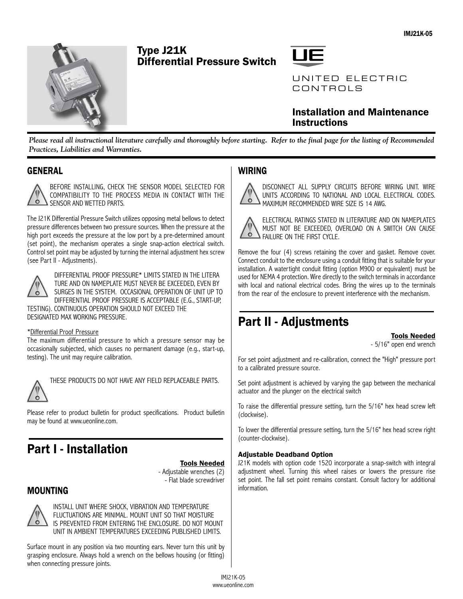

# Type J21K Differential Pressure Switch



# Installation and Maintenance **Instructions**

*Please read all instructional literature carefully and thoroughly before starting. Refer to the final page for the listing of Recommended Practices, Liabilities and Warranties.*

# **GENERAL**



BEFORE INSTALLING, CHECK THE SENSOR MODEL SELECTED FOR COMPATIBILITY TO THE PROCESS MEDIA IN CONTACT WITH THE SENSOR AND WETTED PARTS.

The J21K Differential Pressure Switch utilizes opposing metal bellows to detect pressure differences between two pressure sources. When the pressure at the high port exceeds the pressure at the low port by a pre-determined amount (set point), the mechanism operates a single snap-action electrical switch. Control set point may be adjusted by turning the internal adjustment hex screw (see Part II - Adjustments).



DIFFERENTIAL PROOF PRESSURE\* LIMITS STATED IN THE LITERA TURE AND ON NAMEPLATE MUST NEVER BE EXCEEDED, EVEN BY SURGES IN THE SYSTEM. OCCASIONAL OPERATION OF UNIT UP TO DIFFERENTIAL PROOF PRESSURE IS ACCEPTABLE (E.G., START-UP, TESTING). CONTINUOUS OPERATION SHOULD NOT EXCEED THE

DESIGNATED MAX WORKING PRESSURE.

### \*Differential Proof Pressure

The maximum differential pressure to which a pressure sensor may be occasionally subjected, which causes no permanent damage (e.g., start-up, testing). The unit may require calibration.



THESE PRODUCTS DO NOT HAVE ANY FIELD REPLACEABLE PARTS.

Please refer to product bulletin for product specifications. Product bulletin may be found at www.ueonline.com.

# Part I - Installation

Tools Needed - Adjustable wrenches (2)

- Flat blade screwdriver

# MOUNTING



INSTALL UNIT WHERE SHOCK, VIBRATION AND TEMPERATURE FLUCTUATIONS ARE MINIMAL. MOUNT UNIT SO THAT MOISTURE IS PREVENTED FROM ENTERING THE ENCLOSURE. DO NOT MOUNT UNIT IN AMBIENT TEMPERATURES EXCEEDING PUBLISHED LIMITS.

Surface mount in any position via two mounting ears. Never turn this unit by grasping enclosure. Always hold a wrench on the bellows housing (or fitting) when connecting pressure joints.

# WIRING

DISCONNECT ALL SUPPLY CIRCUITS BEFORE WIRING UNIT. WIRE UNITS ACCORDING TO NATIONAL AND LOCAL ELECTRICAL CODES.  $\ddot{\bullet}$ MAXIMUM RECOMMENDED WIRE SIZE IS 14 AWG.



ELECTRICAL RATINGS STATED IN LITERATURE AND ON NAMEPLATES MUST NOT BE EXCEEDED, OVERLOAD ON A SWITCH CAN CAUSE FAILURE ON THE FIRST CYCLE.

Remove the four (4) screws retaining the cover and gasket. Remove cover. Connect conduit to the enclosure using a conduit fitting that is suitable for your installation. A watertight conduit fitting (option M900 or equivalent) must be used for NEMA 4 protection. Wire directly to the switch terminals in accordance with local and national electrical codes. Bring the wires up to the terminals from the rear of the enclosure to prevent interference with the mechanism.

# Part II - Adjustments

Tools Needed

- 5/16" open end wrench

For set point adjustment and re-calibration, connect the "High" pressure port to a calibrated pressure source.

Set point adjustment is achieved by varying the gap between the mechanical actuator and the plunger on the electrical switch

To raise the differential pressure setting, turn the 5/16" hex head screw left (clockwise).

To lower the differential pressure setting, turn the 5/16" hex head screw right (counter-clockwise).

## Adjustable Deadband Option

J21K models with option code 1520 incorporate a snap-switch with integral adjustment wheel. Turning this wheel raises or lowers the pressure rise set point. The fall set point remains constant. Consult factory for additional information.